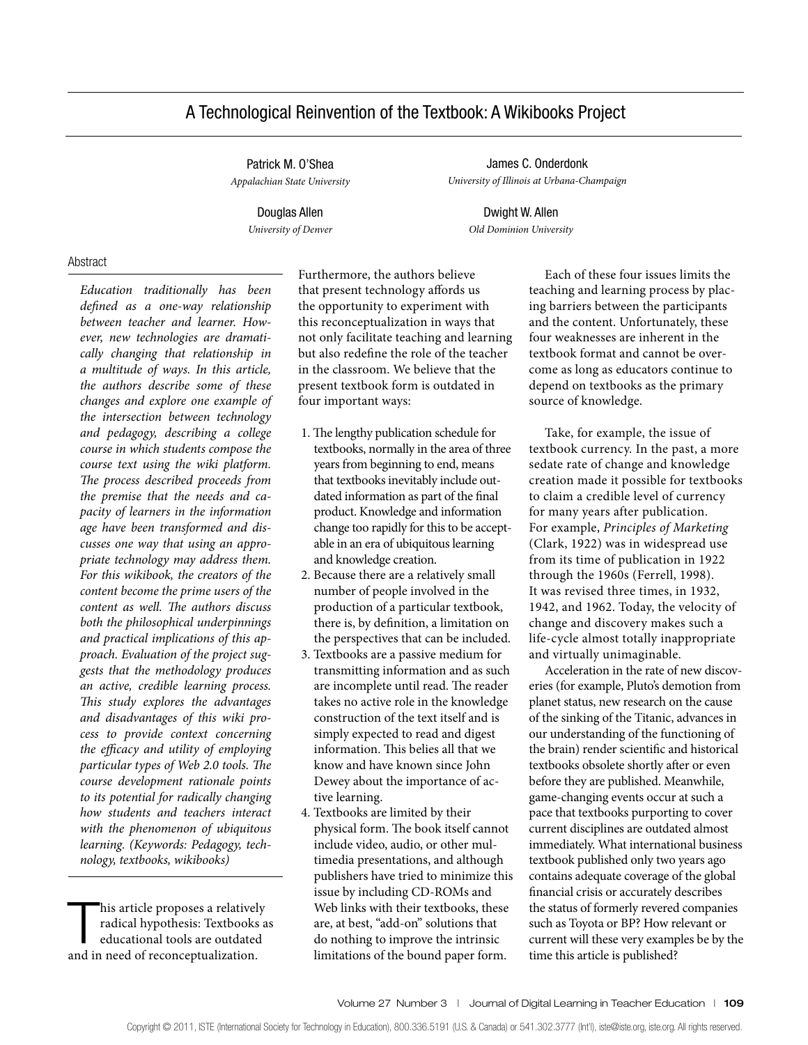# A Technological Reinvention of the Textbook: A Wikibooks Project

Patrick M. O'Shea *Appalachian State University*

> Douglas Allen *University of Denver*

James C. Onderdonk *University of Illinois at Urbana-Champaign*

Dwight W. Allen *Old Dominion University*

## Abstract

*Education traditionally has been defined as a one-way relationship between teacher and learner. However, new technologies are dramatically changing that relationship in a multitude of ways. In this article, the authors describe some of these changes and explore one example of the intersection between technology and pedagogy, describing a college course in which students compose the course text using the wiki platform. The process described proceeds from the premise that the needs and capacity of learners in the information age have been transformed and discusses one way that using an appropriate technology may address them. For this wikibook, the creators of the content become the prime users of the content as well. The authors discuss both the philosophical underpinnings and practical implications of this approach. Evaluation of the project suggests that the methodology produces an active, credible learning process. This study explores the advantages and disadvantages of this wiki process to provide context concerning the efficacy and utility of employing particular types of Web 2.0 tools. The course development rationale points to its potential for radically changing how students and teachers interact with the phenomenon of ubiquitous learning. (Keywords: Pedagogy, technology, textbooks, wikibooks)*

This article proposes a relatively radical hypothesis: Textbooks as educational tools are outdated and in need of reconceptualization.

Furthermore, the authors believe that present technology affords us the opportunity to experiment with this reconceptualization in ways that not only facilitate teaching and learning but also redefine the role of the teacher in the classroom. We believe that the present textbook form is outdated in four important ways:

- 1. The lengthy publication schedule for textbooks, normally in the area of three years from beginning to end, means that textbooks inevitably include outdated information as part of the final product. Knowledge and information change too rapidly for this to be acceptable in an era of ubiquitous learning and knowledge creation.
- 2. Because there are a relatively small number of people involved in the production of a particular textbook, there is, by definition, a limitation on the perspectives that can be included.
- 3. Textbooks are a passive medium for transmitting information and as such are incomplete until read. The reader takes no active role in the knowledge construction of the text itself and is simply expected to read and digest information. This belies all that we know and have known since John Dewey about the importance of active learning.
- 4. Textbooks are limited by their physical form. The book itself cannot include video, audio, or other multimedia presentations, and although publishers have tried to minimize this issue by including CD-ROMs and Web links with their textbooks, these are, at best, "add-on" solutions that do nothing to improve the intrinsic limitations of the bound paper form.

Each of these four issues limits the teaching and learning process by placing barriers between the participants and the content. Unfortunately, these four weaknesses are inherent in the textbook format and cannot be overcome as long as educators continue to depend on textbooks as the primary source of knowledge.

Take, for example, the issue of textbook currency. In the past, a more sedate rate of change and knowledge creation made it possible for textbooks to claim a credible level of currency for many years after publication. For example, *Principles of Marketing*  (Clark, 1922) was in widespread use from its time of publication in 1922 through the 1960s (Ferrell, 1998). It was revised three times, in 1932, 1942, and 1962. Today, the velocity of change and discovery makes such a life-cycle almost totally inappropriate and virtually unimaginable.

Acceleration in the rate of new discoveries (for example, Pluto's demotion from planet status, new research on the cause of the sinking of the Titanic, advances in our understanding of the functioning of the brain) render scientific and historical textbooks obsolete shortly after or even before they are published. Meanwhile, game-changing events occur at such a pace that textbooks purporting to cover current disciplines are outdated almost immediately. What international business textbook published only two years ago contains adequate coverage of the global financial crisis or accurately describes the status of formerly revered companies such as Toyota or BP? How relevant or current will these very examples be by the time this article is published?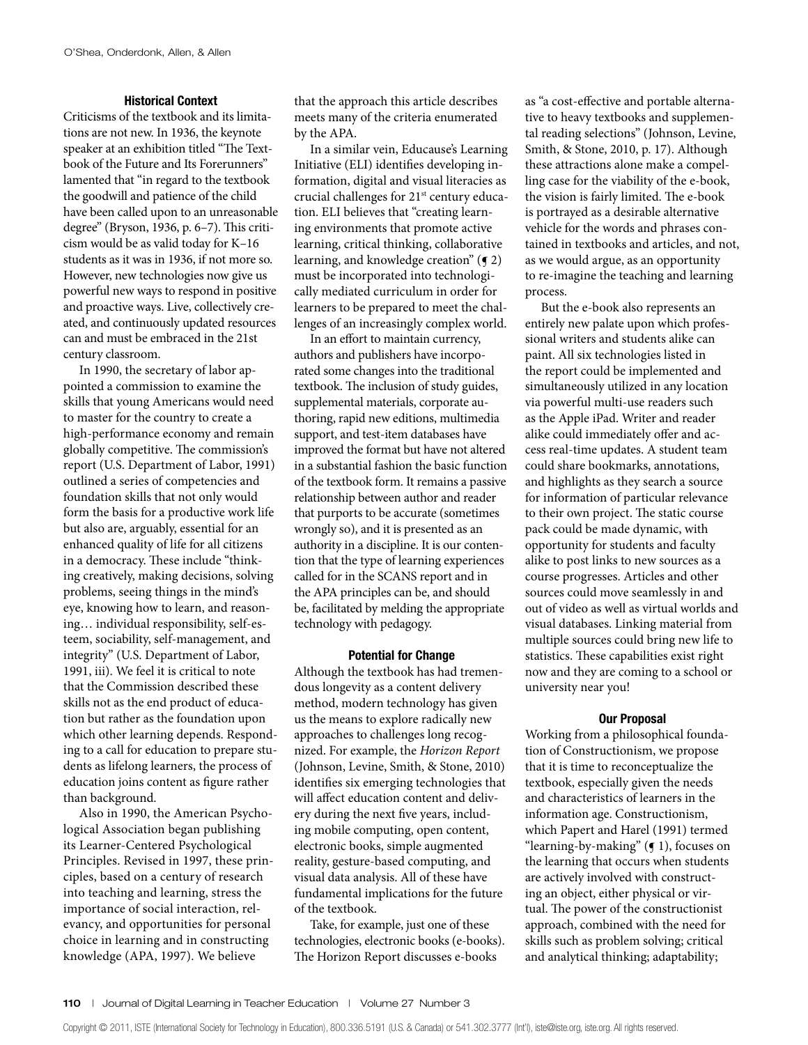## Historical Context

Criticisms of the textbook and its limitations are not new. In 1936, the keynote speaker at an exhibition titled "The Textbook of the Future and Its Forerunners" lamented that "in regard to the textbook the goodwill and patience of the child have been called upon to an unreasonable degree" (Bryson, 1936, p. 6–7). This criticism would be as valid today for K–16 students as it was in 1936, if not more so. However, new technologies now give us powerful new ways to respond in positive and proactive ways. Live, collectively created, and continuously updated resources can and must be embraced in the 21st century classroom.

In 1990, the secretary of labor appointed a commission to examine the skills that young Americans would need to master for the country to create a high-performance economy and remain globally competitive. The commission's report (U.S. Department of Labor, 1991) outlined a series of competencies and foundation skills that not only would form the basis for a productive work life but also are, arguably, essential for an enhanced quality of life for all citizens in a democracy. These include "thinking creatively, making decisions, solving problems, seeing things in the mind's eye, knowing how to learn, and reasoning… individual responsibility, self-esteem, sociability, self-management, and integrity" (U.S. Department of Labor, 1991, iii). We feel it is critical to note that the Commission described these skills not as the end product of education but rather as the foundation upon which other learning depends. Responding to a call for education to prepare students as lifelong learners, the process of education joins content as figure rather than background.

Also in 1990, the American Psychological Association began publishing its Learner-Centered Psychological Principles. Revised in 1997, these principles, based on a century of research into teaching and learning, stress the importance of social interaction, relevancy, and opportunities for personal choice in learning and in constructing knowledge (APA, 1997). We believe

that the approach this article describes meets many of the criteria enumerated by the APA.

In a similar vein, Educause's Learning Initiative (ELI) identifies developing information, digital and visual literacies as crucial challenges for 21<sup>st</sup> century education. ELI believes that "creating learning environments that promote active learning, critical thinking, collaborative learning, and knowledge creation" ( $\zeta$ 2) must be incorporated into technologically mediated curriculum in order for learners to be prepared to meet the challenges of an increasingly complex world.

In an effort to maintain currency, authors and publishers have incorporated some changes into the traditional textbook. The inclusion of study guides, supplemental materials, corporate authoring, rapid new editions, multimedia support, and test-item databases have improved the format but have not altered in a substantial fashion the basic function of the textbook form. It remains a passive relationship between author and reader that purports to be accurate (sometimes wrongly so), and it is presented as an authority in a discipline. It is our contention that the type of learning experiences called for in the SCANS report and in the APA principles can be, and should be, facilitated by melding the appropriate technology with pedagogy.

## Potential for Change

Although the textbook has had tremendous longevity as a content delivery method, modern technology has given us the means to explore radically new approaches to challenges long recognized. For example, the *Horizon Report* (Johnson, Levine, Smith, & Stone, 2010) identifies six emerging technologies that will affect education content and delivery during the next five years, including mobile computing, open content, electronic books, simple augmented reality, gesture-based computing, and visual data analysis. All of these have fundamental implications for the future of the textbook.

Take, for example, just one of these technologies, electronic books (e-books). The Horizon Report discusses e-books

as "a cost-effective and portable alternative to heavy textbooks and supplemental reading selections" (Johnson, Levine, Smith, & Stone, 2010, p. 17). Although these attractions alone make a compelling case for the viability of the e-book, the vision is fairly limited. The e-book is portrayed as a desirable alternative vehicle for the words and phrases contained in textbooks and articles, and not, as we would argue, as an opportunity to re-imagine the teaching and learning process.

But the e-book also represents an entirely new palate upon which professional writers and students alike can paint. All six technologies listed in the report could be implemented and simultaneously utilized in any location via powerful multi-use readers such as the Apple iPad. Writer and reader alike could immediately offer and access real-time updates. A student team could share bookmarks, annotations, and highlights as they search a source for information of particular relevance to their own project. The static course pack could be made dynamic, with opportunity for students and faculty alike to post links to new sources as a course progresses. Articles and other sources could move seamlessly in and out of video as well as virtual worlds and visual databases. Linking material from multiple sources could bring new life to statistics. These capabilities exist right now and they are coming to a school or university near you!

## Our Proposal

Working from a philosophical foundation of Constructionism, we propose that it is time to reconceptualize the textbook, especially given the needs and characteristics of learners in the information age. Constructionism, which Papert and Harel (1991) termed "learning-by-making"  $($   $\bullet$  1), focuses on the learning that occurs when students are actively involved with constructing an object, either physical or virtual. The power of the constructionist approach, combined with the need for skills such as problem solving; critical and analytical thinking; adaptability;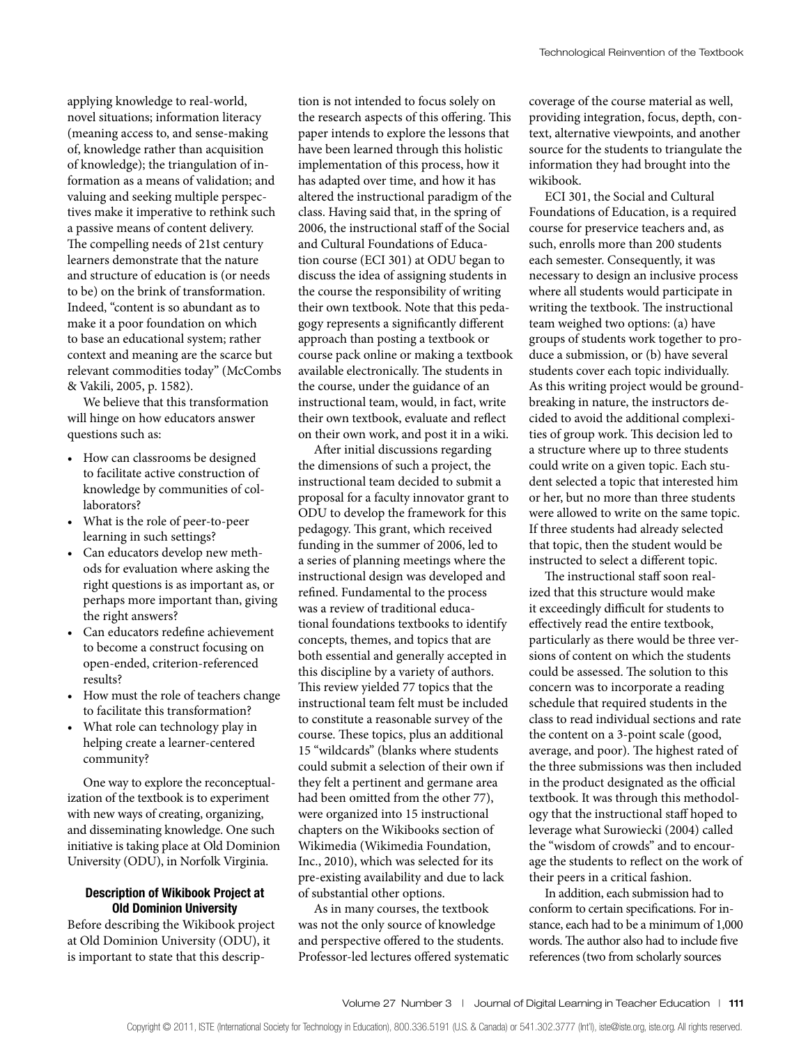applying knowledge to real-world, novel situations; information literacy (meaning access to, and sense-making of, knowledge rather than acquisition of knowledge); the triangulation of information as a means of validation; and valuing and seeking multiple perspectives make it imperative to rethink such a passive means of content delivery. The compelling needs of 21st century learners demonstrate that the nature and structure of education is (or needs to be) on the brink of transformation. Indeed, "content is so abundant as to make it a poor foundation on which to base an educational system; rather context and meaning are the scarce but relevant commodities today" (McCombs & Vakili, 2005, p. 1582).

We believe that this transformation will hinge on how educators answer questions such as:

- How can classrooms be designed to facilitate active construction of knowledge by communities of collaborators?
- What is the role of peer-to-peer learning in such settings?
- Can educators develop new methods for evaluation where asking the right questions is as important as, or perhaps more important than, giving the right answers?
- Can educators redefine achievement to become a construct focusing on open-ended, criterion-referenced results?
- How must the role of teachers change to facilitate this transformation?
- What role can technology play in helping create a learner-centered community?

One way to explore the reconceptualization of the textbook is to experiment with new ways of creating, organizing, and disseminating knowledge. One such initiative is taking place at Old Dominion University (ODU), in Norfolk Virginia.

# Description of Wikibook Project at Old Dominion University

Before describing the Wikibook project at Old Dominion University (ODU), it is important to state that this description is not intended to focus solely on the research aspects of this offering. This paper intends to explore the lessons that have been learned through this holistic implementation of this process, how it has adapted over time, and how it has altered the instructional paradigm of the class. Having said that, in the spring of 2006, the instructional staff of the Social and Cultural Foundations of Education course (ECI 301) at ODU began to discuss the idea of assigning students in the course the responsibility of writing their own textbook. Note that this pedagogy represents a significantly different approach than posting a textbook or course pack online or making a textbook available electronically. The students in the course, under the guidance of an instructional team, would, in fact, write their own textbook, evaluate and reflect on their own work, and post it in a wiki.

After initial discussions regarding the dimensions of such a project, the instructional team decided to submit a proposal for a faculty innovator grant to ODU to develop the framework for this pedagogy. This grant, which received funding in the summer of 2006, led to a series of planning meetings where the instructional design was developed and refined. Fundamental to the process was a review of traditional educational foundations textbooks to identify concepts, themes, and topics that are both essential and generally accepted in this discipline by a variety of authors. This review yielded 77 topics that the instructional team felt must be included to constitute a reasonable survey of the course. These topics, plus an additional 15 "wildcards" (blanks where students could submit a selection of their own if they felt a pertinent and germane area had been omitted from the other 77), were organized into 15 instructional chapters on the Wikibooks section of Wikimedia (Wikimedia Foundation, Inc., 2010), which was selected for its pre-existing availability and due to lack of substantial other options.

As in many courses, the textbook was not the only source of knowledge and perspective offered to the students. Professor-led lectures offered systematic

coverage of the course material as well, providing integration, focus, depth, context, alternative viewpoints, and another source for the students to triangulate the information they had brought into the wikibook.

ECI 301, the Social and Cultural Foundations of Education, is a required course for preservice teachers and, as such, enrolls more than 200 students each semester. Consequently, it was necessary to design an inclusive process where all students would participate in writing the textbook. The instructional team weighed two options: (a) have groups of students work together to produce a submission, or (b) have several students cover each topic individually. As this writing project would be groundbreaking in nature, the instructors decided to avoid the additional complexities of group work. This decision led to a structure where up to three students could write on a given topic. Each student selected a topic that interested him or her, but no more than three students were allowed to write on the same topic. If three students had already selected that topic, then the student would be instructed to select a different topic.

The instructional staff soon realized that this structure would make it exceedingly difficult for students to effectively read the entire textbook, particularly as there would be three versions of content on which the students could be assessed. The solution to this concern was to incorporate a reading schedule that required students in the class to read individual sections and rate the content on a 3-point scale (good, average, and poor). The highest rated of the three submissions was then included in the product designated as the official textbook. It was through this methodology that the instructional staff hoped to leverage what Surowiecki (2004) called the "wisdom of crowds" and to encourage the students to reflect on the work of their peers in a critical fashion.

In addition, each submission had to conform to certain specifications. For instance, each had to be a minimum of 1,000 words. The author also had to include five references (two from scholarly sources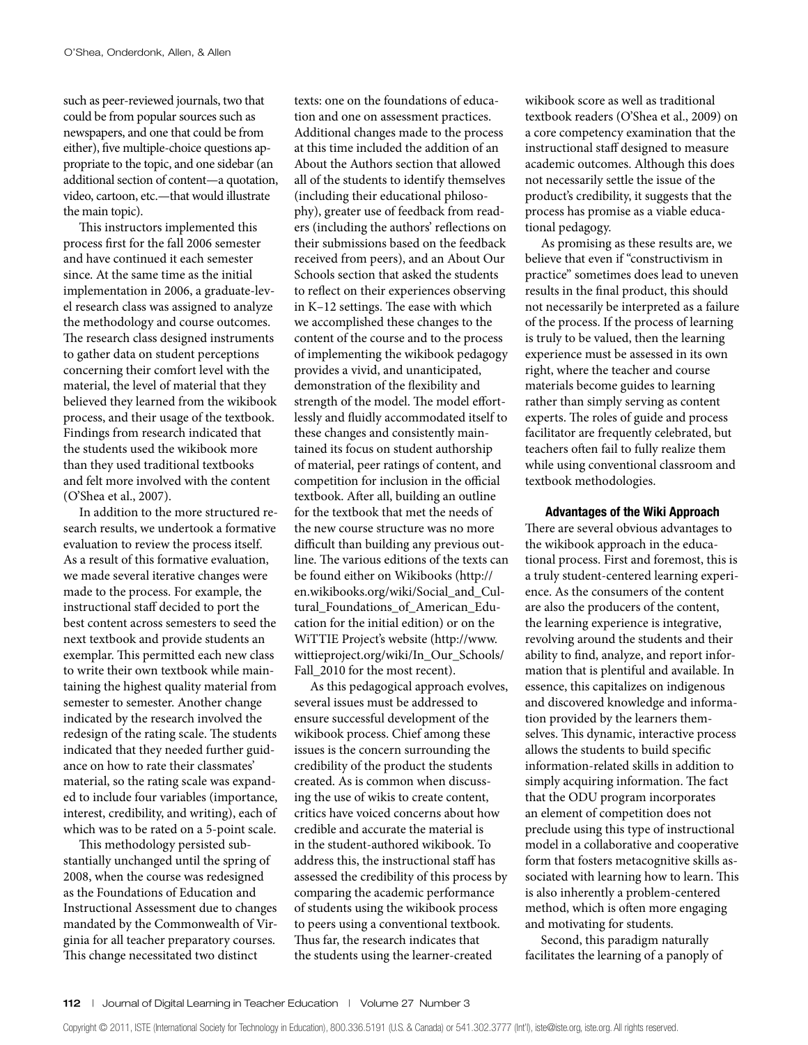such as peer-reviewed journals, two that could be from popular sources such as newspapers, and one that could be from either), five multiple-choice questions appropriate to the topic, and one sidebar (an additional section of content—a quotation, video, cartoon, etc.—that would illustrate the main topic).

This instructors implemented this process first for the fall 2006 semester and have continued it each semester since. At the same time as the initial implementation in 2006, a graduate-level research class was assigned to analyze the methodology and course outcomes. The research class designed instruments to gather data on student perceptions concerning their comfort level with the material, the level of material that they believed they learned from the wikibook process, and their usage of the textbook. Findings from research indicated that the students used the wikibook more than they used traditional textbooks and felt more involved with the content (O'Shea et al., 2007).

In addition to the more structured research results, we undertook a formative evaluation to review the process itself. As a result of this formative evaluation, we made several iterative changes were made to the process. For example, the instructional staff decided to port the best content across semesters to seed the next textbook and provide students an exemplar. This permitted each new class to write their own textbook while maintaining the highest quality material from semester to semester. Another change indicated by the research involved the redesign of the rating scale. The students indicated that they needed further guidance on how to rate their classmates' material, so the rating scale was expanded to include four variables (importance, interest, credibility, and writing), each of which was to be rated on a 5-point scale.

This methodology persisted substantially unchanged until the spring of 2008, when the course was redesigned as the Foundations of Education and Instructional Assessment due to changes mandated by the Commonwealth of Virginia for all teacher preparatory courses. This change necessitated two distinct

texts: one on the foundations of education and one on assessment practices. Additional changes made to the process at this time included the addition of an About the Authors section that allowed all of the students to identify themselves (including their educational philosophy), greater use of feedback from readers (including the authors' reflections on their submissions based on the feedback received from peers), and an About Our Schools section that asked the students to reflect on their experiences observing in K–12 settings. The ease with which we accomplished these changes to the content of the course and to the process of implementing the wikibook pedagogy provides a vivid, and unanticipated, demonstration of the flexibility and strength of the model. The model effortlessly and fluidly accommodated itself to these changes and consistently maintained its focus on student authorship of material, peer ratings of content, and competition for inclusion in the official textbook. After all, building an outline for the textbook that met the needs of the new course structure was no more difficult than building any previous outline. The various editions of the texts can be found either on Wikibooks (http:// en.wikibooks.org/wiki/Social\_and\_Cultural\_Foundations\_of\_American\_Education for the initial edition) or on the WiTTIE Project's website (http://www. wittieproject.org/wiki/In\_Our\_Schools/ Fall 2010 for the most recent).

As this pedagogical approach evolves, several issues must be addressed to ensure successful development of the wikibook process. Chief among these issues is the concern surrounding the credibility of the product the students created. As is common when discussing the use of wikis to create content, critics have voiced concerns about how credible and accurate the material is in the student-authored wikibook. To address this, the instructional staff has assessed the credibility of this process by comparing the academic performance of students using the wikibook process to peers using a conventional textbook. Thus far, the research indicates that the students using the learner-created

wikibook score as well as traditional textbook readers (O'Shea et al., 2009) on a core competency examination that the instructional staff designed to measure academic outcomes. Although this does not necessarily settle the issue of the product's credibility, it suggests that the process has promise as a viable educational pedagogy.

As promising as these results are, we believe that even if "constructivism in practice" sometimes does lead to uneven results in the final product, this should not necessarily be interpreted as a failure of the process. If the process of learning is truly to be valued, then the learning experience must be assessed in its own right, where the teacher and course materials become guides to learning rather than simply serving as content experts. The roles of guide and process facilitator are frequently celebrated, but teachers often fail to fully realize them while using conventional classroom and textbook methodologies.

#### Advantages of the Wiki Approach

There are several obvious advantages to the wikibook approach in the educational process. First and foremost, this is a truly student-centered learning experience. As the consumers of the content are also the producers of the content, the learning experience is integrative, revolving around the students and their ability to find, analyze, and report information that is plentiful and available. In essence, this capitalizes on indigenous and discovered knowledge and information provided by the learners themselves. This dynamic, interactive process allows the students to build specific information-related skills in addition to simply acquiring information. The fact that the ODU program incorporates an element of competition does not preclude using this type of instructional model in a collaborative and cooperative form that fosters metacognitive skills associated with learning how to learn. This is also inherently a problem-centered method, which is often more engaging and motivating for students.

Second, this paradigm naturally facilitates the learning of a panoply of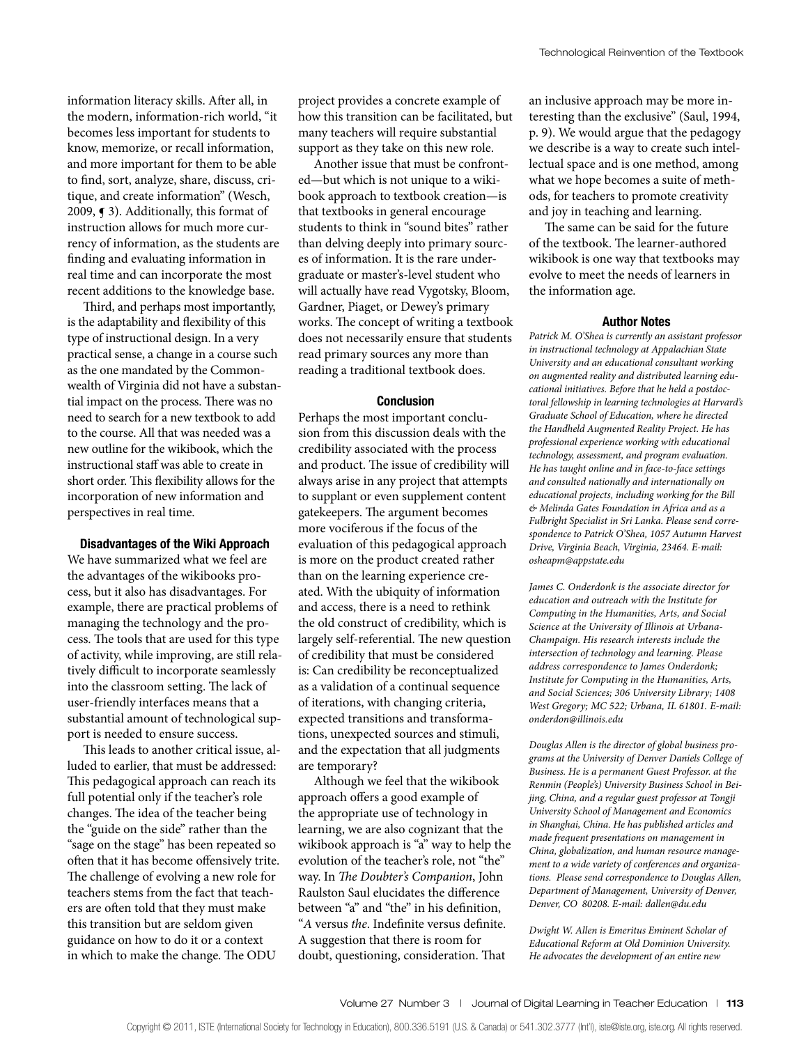information literacy skills. After all, in the modern, information-rich world, "it becomes less important for students to know, memorize, or recall information, and more important for them to be able to find, sort, analyze, share, discuss, critique, and create information" (Wesch, 2009, ¶ 3). Additionally, this format of instruction allows for much more currency of information, as the students are finding and evaluating information in real time and can incorporate the most recent additions to the knowledge base.

Third, and perhaps most importantly, is the adaptability and flexibility of this type of instructional design. In a very practical sense, a change in a course such as the one mandated by the Commonwealth of Virginia did not have a substantial impact on the process. There was no need to search for a new textbook to add to the course. All that was needed was a new outline for the wikibook, which the instructional staff was able to create in short order. This flexibility allows for the incorporation of new information and perspectives in real time.

Disadvantages of the Wiki Approach We have summarized what we feel are

the advantages of the wikibooks process, but it also has disadvantages. For example, there are practical problems of managing the technology and the process. The tools that are used for this type of activity, while improving, are still relatively difficult to incorporate seamlessly into the classroom setting. The lack of user-friendly interfaces means that a substantial amount of technological support is needed to ensure success.

This leads to another critical issue, alluded to earlier, that must be addressed: This pedagogical approach can reach its full potential only if the teacher's role changes. The idea of the teacher being the "guide on the side" rather than the "sage on the stage" has been repeated so often that it has become offensively trite. The challenge of evolving a new role for teachers stems from the fact that teachers are often told that they must make this transition but are seldom given guidance on how to do it or a context in which to make the change. The ODU

project provides a concrete example of how this transition can be facilitated, but many teachers will require substantial support as they take on this new role.

Another issue that must be confronted—but which is not unique to a wikibook approach to textbook creation—is that textbooks in general encourage students to think in "sound bites" rather than delving deeply into primary sources of information. It is the rare undergraduate or master's-level student who will actually have read Vygotsky, Bloom, Gardner, Piaget, or Dewey's primary works. The concept of writing a textbook does not necessarily ensure that students read primary sources any more than reading a traditional textbook does.

## Conclusion

Perhaps the most important conclusion from this discussion deals with the credibility associated with the process and product. The issue of credibility will always arise in any project that attempts to supplant or even supplement content gatekeepers. The argument becomes more vociferous if the focus of the evaluation of this pedagogical approach is more on the product created rather than on the learning experience created. With the ubiquity of information and access, there is a need to rethink the old construct of credibility, which is largely self-referential. The new question of credibility that must be considered is: Can credibility be reconceptualized as a validation of a continual sequence of iterations, with changing criteria, expected transitions and transformations, unexpected sources and stimuli, and the expectation that all judgments are temporary?

Although we feel that the wikibook approach offers a good example of the appropriate use of technology in learning, we are also cognizant that the wikibook approach is "a" way to help the evolution of the teacher's role, not "the" way. In *The Doubter's Companion*, John Raulston Saul elucidates the difference between "a" and "the" in his definition, "*A* versus *the*. Indefinite versus definite. A suggestion that there is room for doubt, questioning, consideration. That

an inclusive approach may be more interesting than the exclusive" (Saul, 1994, p. 9). We would argue that the pedagogy we describe is a way to create such intellectual space and is one method, among what we hope becomes a suite of methods, for teachers to promote creativity and joy in teaching and learning.

The same can be said for the future of the textbook. The learner-authored wikibook is one way that textbooks may evolve to meet the needs of learners in the information age.

### Author Notes

*Patrick M. O'Shea is currently an assistant professor in instructional technology at Appalachian State University and an educational consultant working on augmented reality and distributed learning educational initiatives. Before that he held a postdoctoral fellowship in learning technologies at Harvard's Graduate School of Education, where he directed the Handheld Augmented Reality Project. He has professional experience working with educational technology, assessment, and program evaluation. He has taught online and in face-to-face settings and consulted nationally and internationally on educational projects, including working for the Bill & Melinda Gates Foundation in Africa and as a Fulbright Specialist in Sri Lanka. Please send correspondence to Patrick O'Shea, 1057 Autumn Harvest Drive, Virginia Beach, Virginia, 23464. E-mail: osheapm@appstate.edu*

*James C. Onderdonk is the associate director for education and outreach with the Institute for Computing in the Humanities, Arts, and Social Science at the University of Illinois at Urbana-Champaign. His research interests include the intersection of technology and learning. Please address correspondence to James Onderdonk; Institute for Computing in the Humanities, Arts, and Social Sciences; 306 University Library; 1408 West Gregory; MC 522; Urbana, IL 61801. E-mail: onderdon@illinois.edu*

*Douglas Allen is the director of global business programs at the University of Denver Daniels College of Business. He is a permanent Guest Professor. at the Renmin (People's) University Business School in Beijing, China, and a regular guest professor at Tongji University School of Management and Economics in Shanghai, China. He has published articles and made frequent presentations on management in China, globalization, and human resource management to a wide variety of conferences and organizations. Please send correspondence to Douglas Allen, Department of Management, University of Denver, Denver, CO 80208. E-mail: dallen@du.edu*

*Dwight W. Allen is Emeritus Eminent Scholar of Educational Reform at Old Dominion University. He advocates the development of an entire new*